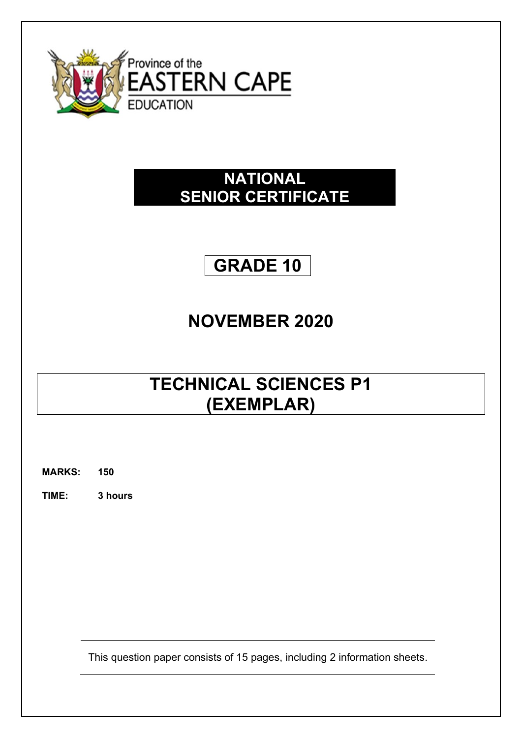

## **NATIONAL SENIOR CERTIFICATE**

## **GRADE 10**

## **NOVEMBER 2020**

# **TECHNICAL SCIENCES P1 (EXEMPLAR)**

**MARKS: 150**

**TIME: 3 hours**

This question paper consists of 15 pages, including 2 information sheets.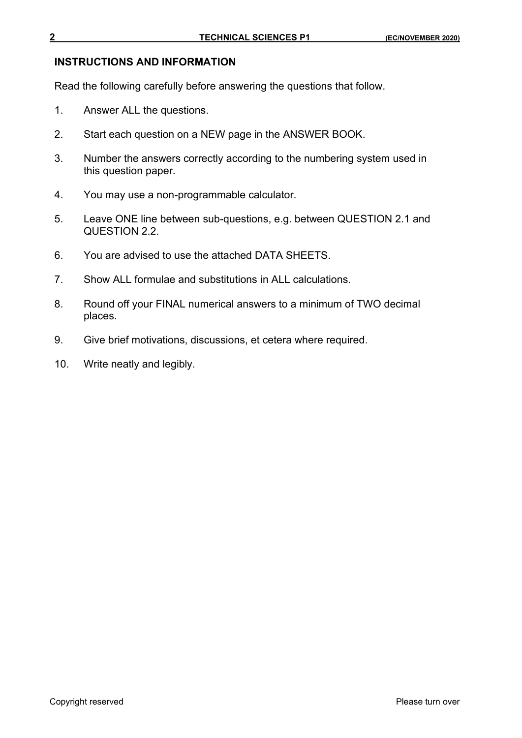#### **INSTRUCTIONS AND INFORMATION**

Read the following carefully before answering the questions that follow.

- 1. Answer ALL the questions.
- 2. Start each question on a NEW page in the ANSWER BOOK.
- 3. Number the answers correctly according to the numbering system used in this question paper.
- 4. You may use a non-programmable calculator.
- 5. Leave ONE line between sub-questions, e.g. between QUESTION 2.1 and QUESTION 2.2.
- 6. You are advised to use the attached DATA SHEETS.
- 7. Show ALL formulae and substitutions in ALL calculations.
- 8. Round off your FINAL numerical answers to a minimum of TWO decimal places.
- 9. Give brief motivations, discussions, et cetera where required.
- 10. Write neatly and legibly.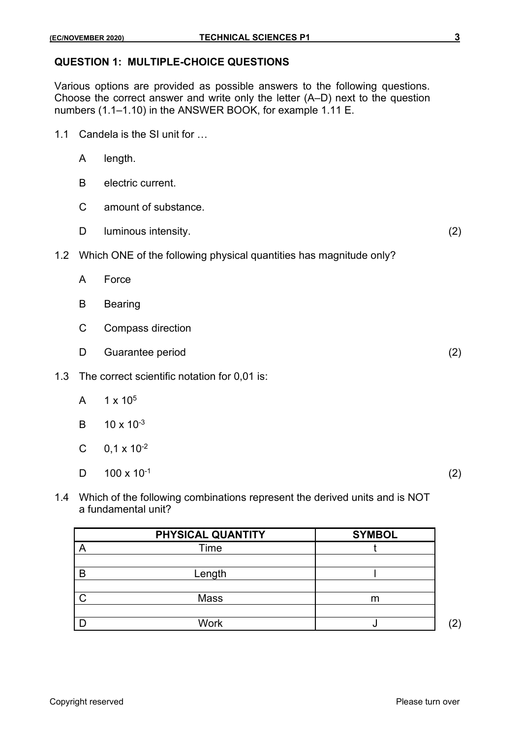#### **QUESTION 1: MULTIPLE-CHOICE QUESTIONS**

Various options are provided as possible answers to the following questions. Choose the correct answer and write only the letter (A–D) next to the question numbers (1.1–1.10) in the ANSWER BOOK, for example 1.11 E.

- 1.1 Candela is the SI unit for …
	- A length.
	- B electric current.
	- C amount of substance.
	- D luminous intensity. (2)
- 1.2 Which ONE of the following physical quantities has magnitude only?
	- A Force
	- B Bearing
	- C Compass direction
	- D Guarantee period (2)
- 1.3 The correct scientific notation for 0,01 is:
	- A  $1 \times 10^5$
	- $B = 10 \times 10^{-3}$
	- C  $0,1 \times 10^{-2}$
	- D  $100 \times 10^{-1}$
- (2)
- 1.4 Which of the following combinations represent the derived units and is NOT a fundamental unit?

|   | PHYSICAL QUANTITY | <b>SYMBOL</b> |                       |
|---|-------------------|---------------|-----------------------|
|   | Time              |               |                       |
|   |                   |               |                       |
| B | Length            |               |                       |
|   |                   |               |                       |
|   | Mass              | m             |                       |
|   |                   |               |                       |
|   | Work              |               | $\mathbf{2}^{\prime}$ |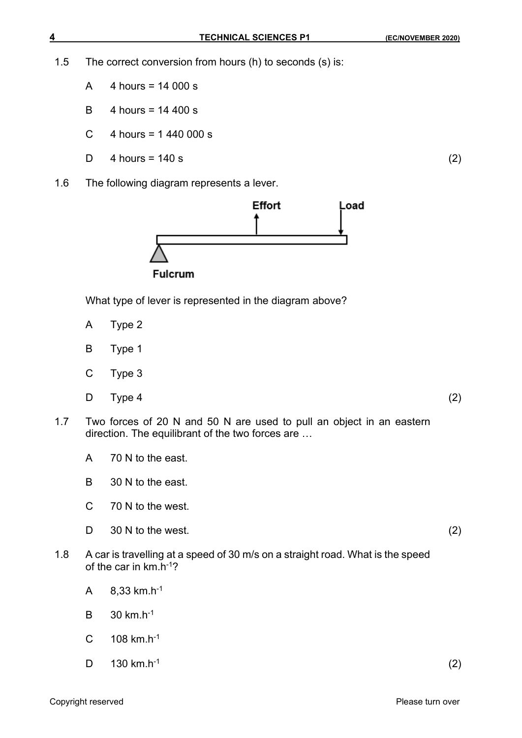1.5 The correct conversion from hours (h) to seconds (s) is:

- A 4 hours = 14 000 s
- B 4 hours = 14 400 s
- C  $4$  hours = 1 440 000 s
- $D = 4$  hours = 140 s (2)
- 1.6 The following diagram represents a lever.



What type of lever is represented in the diagram above?

- A Type 2
- B Type 1
- C Type 3
- $D$  Type 4 (2)
- 1.7 Two forces of 20 N and 50 N are used to pull an object in an eastern direction. The equilibrant of the two forces are …
	- A 70 N to the east.
	- B 30 N to the east.
	- C 70 N to the west.
	- D 30 N to the west. (2)
- 1.8 A car is travelling at a speed of 30 m/s on a straight road. What is the speed of the car in km.h<sup>-1</sup>?
	- A 8,33 km.h-1
	- B 30 km.h-1
	- $C = 108$  km.h<sup>-1</sup>
	- D 130 km.h-1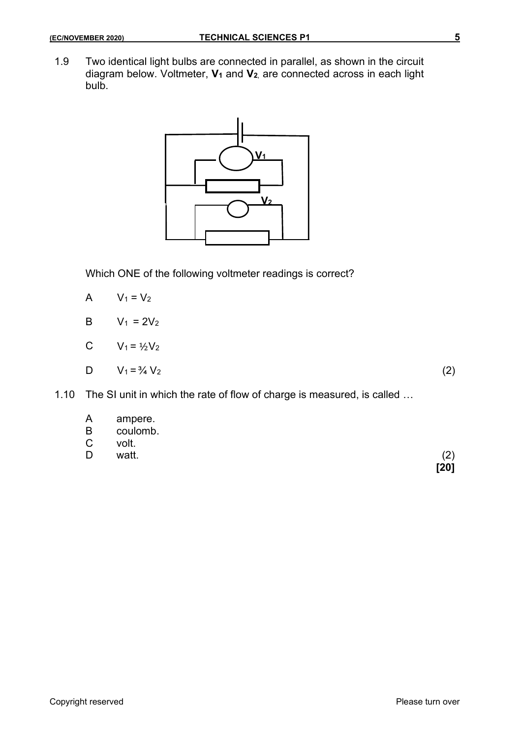1.9 Two identical light bulbs are connected in parallel, as shown in the circuit diagram below. Voltmeter, **V<sup>1</sup>** and **V2**, are connected across in each light bulb.



Which ONE of the following voltmeter readings is correct?

$$
A \qquad V_1 = V_2
$$

$$
B \qquad V_1 = 2V_2
$$

$$
C \qquad V_1 = \frac{1}{2} V_2
$$

$$
D \tV_1 = \frac{3}{4} V_2 \t(2)
$$

1.10 The SI unit in which the rate of flow of charge is measured, is called …

A ampere.

- B coulomb.<br>C volt.
- volt.
- D watt. (2)

**[20]**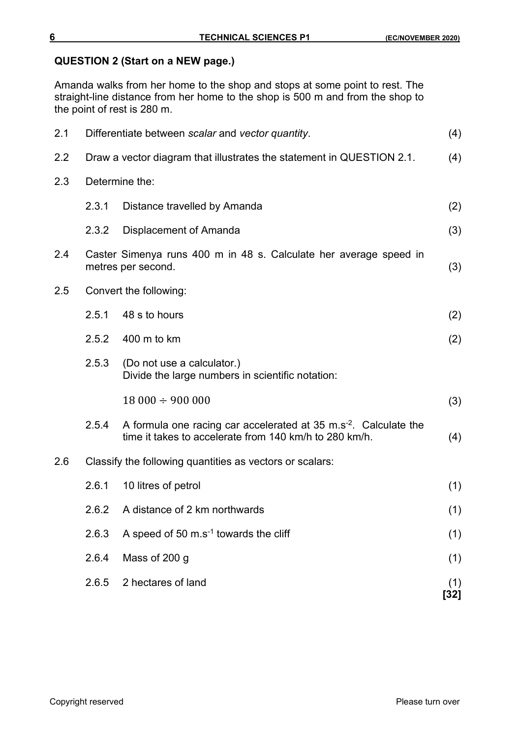## **QUESTION 2 (Start on a NEW page.)**

Amanda walks from her home to the shop and stops at some point to rest. The straight-line distance from her home to the shop is 500 m and from the shop to the point of rest is 280 m.

| 2.1 |       | Differentiate between scalar and vector quantity.                                                                                    | (4)         |
|-----|-------|--------------------------------------------------------------------------------------------------------------------------------------|-------------|
| 2.2 |       | Draw a vector diagram that illustrates the statement in QUESTION 2.1.                                                                | (4)         |
| 2.3 |       | Determine the:                                                                                                                       |             |
|     | 2.3.1 | Distance travelled by Amanda                                                                                                         | (2)         |
|     | 2.3.2 | Displacement of Amanda                                                                                                               | (3)         |
| 2.4 |       | Caster Simenya runs 400 m in 48 s. Calculate her average speed in<br>metres per second.                                              | (3)         |
| 2.5 |       | Convert the following:                                                                                                               |             |
|     | 2.5.1 | 48 s to hours                                                                                                                        | (2)         |
|     | 2.5.2 | 400 m to km                                                                                                                          | (2)         |
|     | 2.5.3 | (Do not use a calculator.)<br>Divide the large numbers in scientific notation:                                                       |             |
|     |       | $18000 \div 900000$                                                                                                                  | (3)         |
|     | 2.5.4 | A formula one racing car accelerated at $35 \text{ m.s}^2$ . Calculate the<br>time it takes to accelerate from 140 km/h to 280 km/h. | (4)         |
| 2.6 |       | Classify the following quantities as vectors or scalars:                                                                             |             |
|     | 2.6.1 | 10 litres of petrol                                                                                                                  | (1)         |
|     | 2.6.2 | A distance of 2 km northwards                                                                                                        | (1)         |
|     | 2.6.3 | A speed of 50 $\mathrm{m.s}$ <sup>1</sup> towards the cliff                                                                          | (1)         |
|     | 2.6.4 | Mass of 200 g                                                                                                                        | (1)         |
|     | 2.6.5 | 2 hectares of land                                                                                                                   | (1)<br>[32] |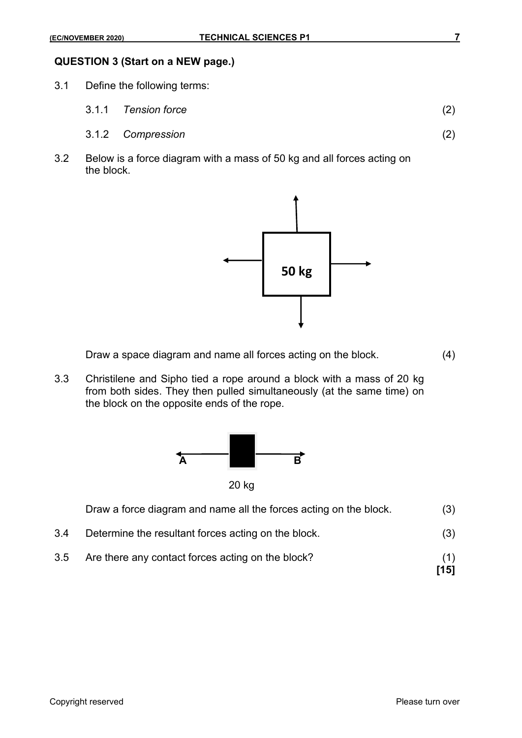#### **QUESTION 3 (Start on a NEW page.)**

- 3.1 Define the following terms:
	- 3.1.1 *Tension force* (2)
	- 3.1.2 *Compression* (2)
- 3.2 Below is a force diagram with a mass of 50 kg and all forces acting on the block.



Draw a space diagram and name all forces acting on the block. (4)

3.3 Christilene and Sipho tied a rope around a block with a mass of 20 kg from both sides. They then pulled simultaneously (at the same time) on the block on the opposite ends of the rope.



20 kg

|     | Draw a force diagram and name all the forces acting on the block. | (3)         |
|-----|-------------------------------------------------------------------|-------------|
| 3.4 | Determine the resultant forces acting on the block.               | (3)         |
| 3.5 | Are there any contact forces acting on the block?                 | (1)<br>[15] |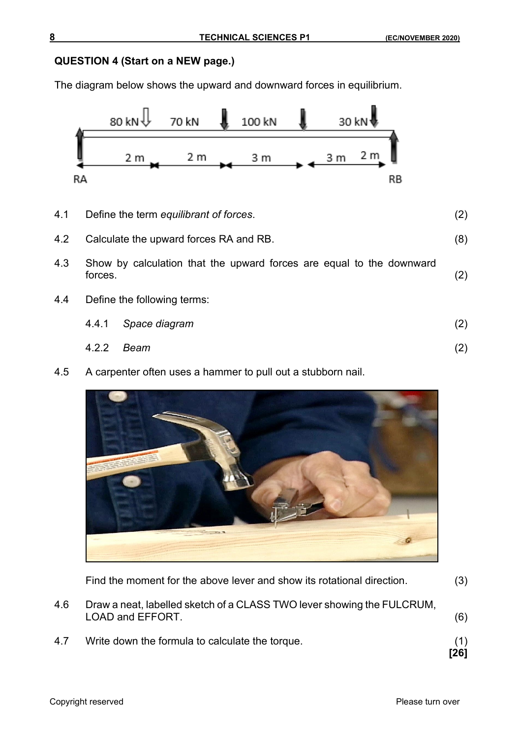## **QUESTION 4 (Start on a NEW page.)**

The diagram below shows the upward and downward forces in equilibrium.



- 4.1 Define the term *equilibrant of forces*. (2) 4.2 Calculate the upward forces RA and RB. (8) 4.3 Show by calculation that the upward forces are equal to the downward forces. forces. (2) 4.4 Define the following terms:
	- 4.4.1 *Space diagram* (2)
	- 4.2.2 *Beam* (2)
- 4.5 A carpenter often uses a hammer to pull out a stubborn nail.



|     | Find the moment for the above lever and show its rotational direction.                            | (3)         |
|-----|---------------------------------------------------------------------------------------------------|-------------|
| 4.6 | Draw a neat, labelled sketch of a CLASS TWO lever showing the FULCRUM,<br><b>LOAD and EFFORT.</b> | (6)         |
| 4.7 | Write down the formula to calculate the torque.                                                   | (1)<br>[26] |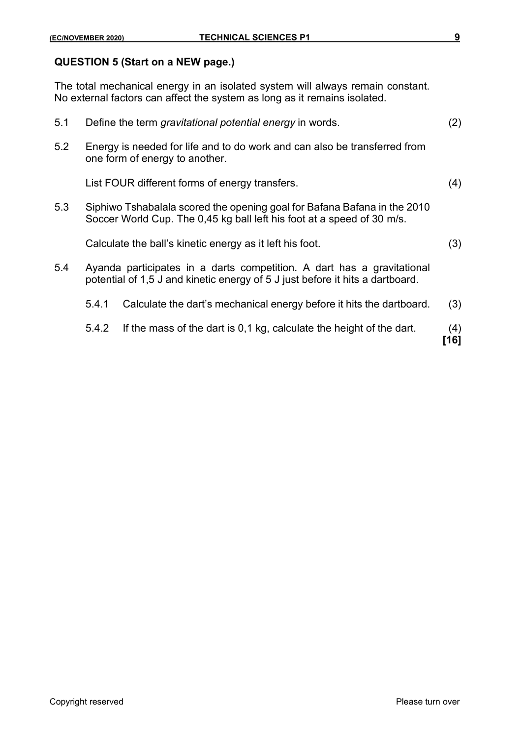### **QUESTION 5 (Start on a NEW page.)**

The total mechanical energy in an isolated system will always remain constant. No external factors can affect the system as long as it remains isolated.

|     | 5.4.2 | If the mass of the dart is 0,1 kg, calculate the height of the dart.                                                                                    | (4)<br>[16] |
|-----|-------|---------------------------------------------------------------------------------------------------------------------------------------------------------|-------------|
|     | 5.4.1 | Calculate the dart's mechanical energy before it hits the dartboard.                                                                                    | (3)         |
| 5.4 |       | Ayanda participates in a darts competition. A dart has a gravitational<br>potential of 1,5 J and kinetic energy of 5 J just before it hits a dartboard. |             |
|     |       | Calculate the ball's kinetic energy as it left his foot.                                                                                                | (3)         |
| 5.3 |       | Siphiwo Tshabalala scored the opening goal for Bafana Bafana in the 2010<br>Soccer World Cup. The 0,45 kg ball left his foot at a speed of 30 m/s.      |             |
|     |       | List FOUR different forms of energy transfers.                                                                                                          | (4)         |
| 5.2 |       | Energy is needed for life and to do work and can also be transferred from<br>one form of energy to another.                                             |             |
| 5.1 |       | Define the term gravitational potential energy in words.                                                                                                | (2)         |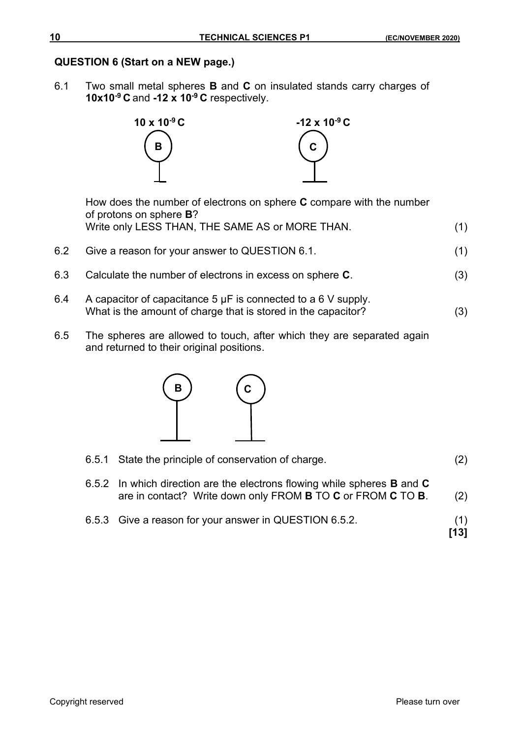## **QUESTION 6 (Start on a NEW page.)**

6.1 Two small metal spheres **B** and **C** on insulated stands carry charges of **10x10-9 C** and **-12 x 10-9 C** respectively.



How does the number of electrons on sphere **C** compare with the number of protons on sphere **B**? Write only LESS THAN, THE SAME AS or MORE THAN. (1)

- 6.2 Give a reason for your answer to QUESTION 6.1. (1)
- 6.3 Calculate the number of electrons in excess on sphere **C**. (3)
- 6.4 A capacitor of capacitance 5 µF is connected to a 6 V supply. What is the amount of charge that is stored in the capacitor? (3)
- 6.5 The spheres are allowed to touch, after which they are separated again and returned to their original positions.



| 6.5.1 State the principle of conservation of charge.                                                                                                                               | (2)         |
|------------------------------------------------------------------------------------------------------------------------------------------------------------------------------------|-------------|
| 6.5.2 In which direction are the electrons flowing while spheres <b>B</b> and <b>C</b><br>are in contact? Write down only FROM <b>B</b> TO <b>C</b> or FROM <b>C</b> TO <b>B</b> . | (2)         |
| 6.5.3 Give a reason for your answer in QUESTION 6.5.2.                                                                                                                             | (1)<br>[13] |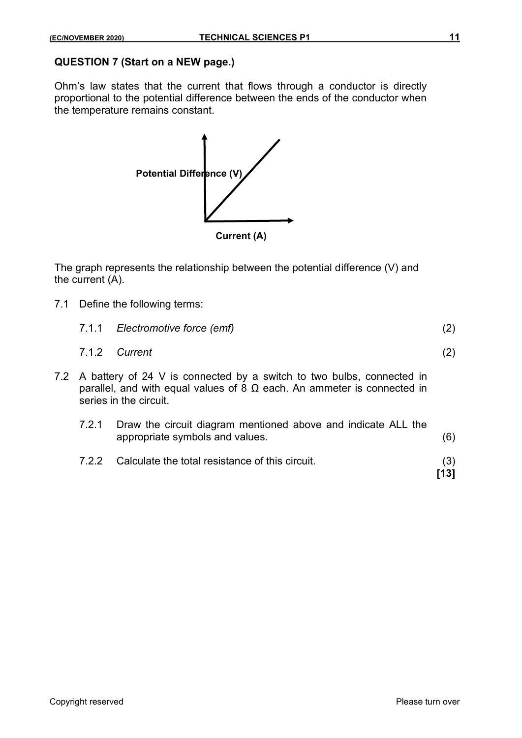## **QUESTION 7 (Start on a NEW page.)**

Ohm's law states that the current that flows through a conductor is directly proportional to the potential difference between the ends of the conductor when the temperature remains constant.



The graph represents the relationship between the potential difference (V) and the current (A).

7.1 Define the following terms:

|       | 7.1.1 Electromotive force (emf)                                                                                                                                                       | (2) |
|-------|---------------------------------------------------------------------------------------------------------------------------------------------------------------------------------------|-----|
|       | 7.1.2 Current                                                                                                                                                                         | (2) |
|       | 7.2 A battery of 24 V is connected by a switch to two bulbs, connected in<br>parallel, and with equal values of 8 $\Omega$ each. An ammeter is connected in<br>series in the circuit. |     |
| 7.2.1 | Draw the circuit diagram mentioned above and indicate ALL the<br>appropriate symbols and values.                                                                                      |     |

7.2.2 Calculate the total resistance of this circuit. (3)

**[13]**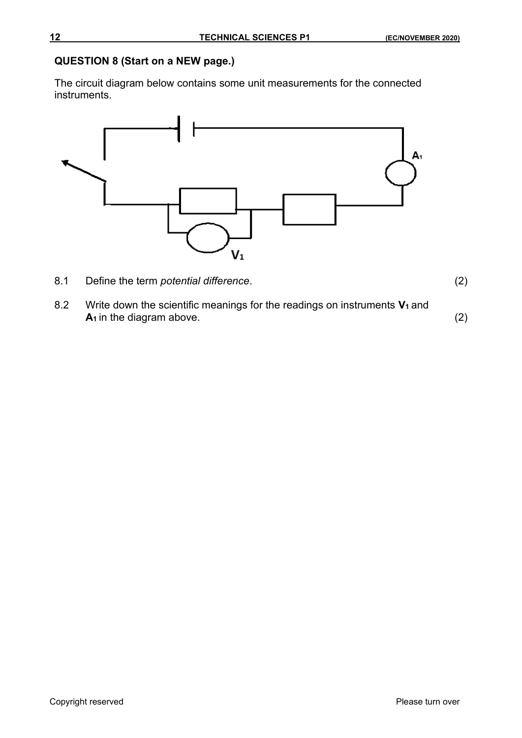## **QUESTION 8 (Start on a NEW page.)**

The circuit diagram below contains some unit measurements for the connected instruments.



8.1 Define the term *potential difference*. (2)

8.2 Write down the scientific meanings for the readings on instruments **V<sup>1</sup>** and **A**<sub>1</sub> in the diagram above. (2)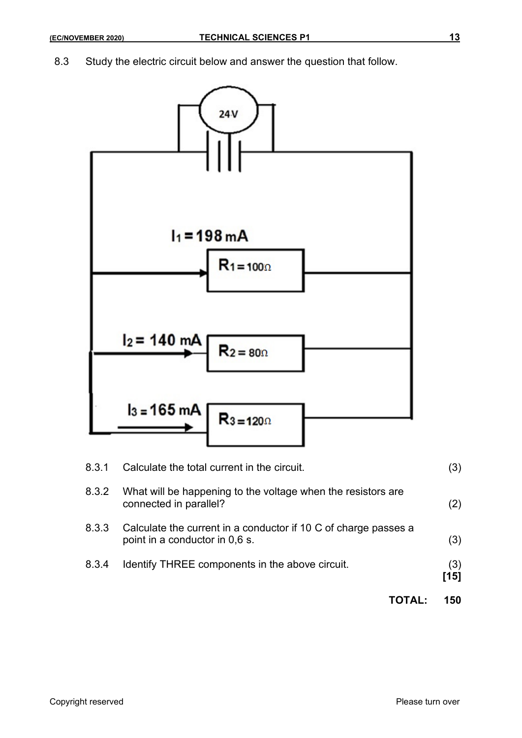8.3 Study the electric circuit below and answer the question that follow.



|       |                                                                                                   | 150           |
|-------|---------------------------------------------------------------------------------------------------|---------------|
| 8.3.4 | Identify THREE components in the above circuit.                                                   | (3)<br>$[15]$ |
| 8.3.3 | Calculate the current in a conductor if 10 C of charge passes a<br>point in a conductor in 0,6 s. | (3)           |
| 8.3.2 | What will be happening to the voltage when the resistors are<br>connected in parallel?            | (2)           |
| 83 I  | Calculate the total current in the circuit.                                                       | (3)           |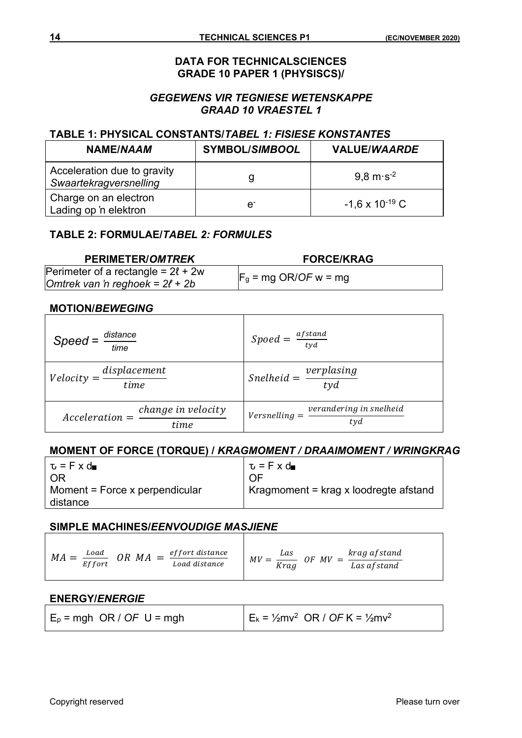#### **DATA FOR TECHNICALSCIENCES GRADE 10 PAPER 1 (PHYSISCS)/**

### *GEGEWENS VIR TEGNIESE WETENSKAPPE GRAAD 10 VRAESTEL 1*

#### **TABLE 1: PHYSICAL CONSTANTS/***TABEL 1: FISIESE KONSTANTES*

| NAME/NAAM                                             | <b>SYMBOL/SIMBOOL</b> | <b>VALUE/WAARDE</b>            |
|-------------------------------------------------------|-----------------------|--------------------------------|
| Acceleration due to gravity<br>Swaartekragversnelling | g                     | $9.8 \text{ m} \text{ s}^{-2}$ |
| Charge on an electron<br>Lading op 'n elektron        | e.                    | $-1,6 \times 10^{-19}$ C       |

#### **TABLE 2: FORMULAE/***TABEL 2: FORMULES*

| <b>PERIMETER/OMTREK</b>                                                         | <b>FORCE/KRAG</b>       |
|---------------------------------------------------------------------------------|-------------------------|
| Perimeter of a rectangle = $2\ell$ + 2w<br>Omtrek van 'n reghoek = $2\ell$ + 2b | $F_g = mg$ OR/OF w = mg |

## **MOTION/***BEWEGING*

| $Spec d = \frac{distance}{1}$<br>time                                | Spoed = $\frac{afstand}{tyd}$                                      |
|----------------------------------------------------------------------|--------------------------------------------------------------------|
| $Velocity = \frac{displacement}{time}$                               | $\frac{1}{\text{Snelheid}} = \frac{\text{verplasing}}{\text{tyd}}$ |
| $\label{eq:change} change\ in\ velocity$<br>$Acceleration =$<br>time | verandering in snelheid<br>$Versnelling =$<br>tyd                  |

## **MOMENT OF FORCE (TORQUE) /** *KRAGMOMENT / DRAAIMOMENT / WRINGKRAG*

| $\tau$ = F x d                             | $\mathbf{v} = \mathbf{F} \times \mathbf{d}$ |
|--------------------------------------------|---------------------------------------------|
| 0R                                         | $\Omega$ F                                  |
| Moment = Force x perpendicular<br>distance | Kragmoment = krag x loodregte afstand       |

#### **SIMPLE MACHINES/***EENVOUDIGE MASJIENE*

| Load<br>МA<br>Effort | ef fort distance<br>OR MA<br>$=$<br>Load distance | krag af stand<br>Las<br>MV<br>MV<br>0F<br>Krag<br>Las af stand |
|----------------------|---------------------------------------------------|----------------------------------------------------------------|
|----------------------|---------------------------------------------------|----------------------------------------------------------------|

#### **ENERGY/***ENERGIE*

| $E_p = mgh$ OR / OF U = mgh | $E_k = \frac{1}{2}mv^2$ OR / OF K = $\frac{1}{2}mv^2$ |
|-----------------------------|-------------------------------------------------------|
|-----------------------------|-------------------------------------------------------|